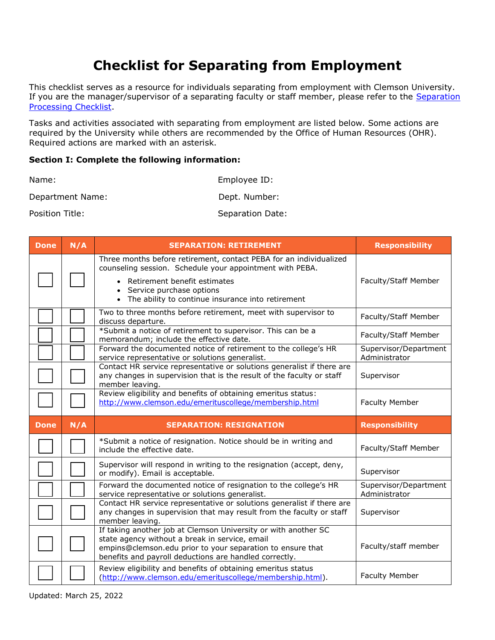## **Section I: Complete the following information:**

| Name:            | Employee ID:     |
|------------------|------------------|
| Department Name: | Dept. Number:    |
| Position Title:  | Separation Date: |

|                              |     | <b>Checklist for Separating from Employment</b>                                                                                                                                                                                                        |                                        |
|------------------------------|-----|--------------------------------------------------------------------------------------------------------------------------------------------------------------------------------------------------------------------------------------------------------|----------------------------------------|
| <b>Processing Checklist.</b> |     | This checklist serves as a resource for individuals separating from employment with Clemson University<br>If you are the manager/supervisor of a separating faculty or staff member, please refer to the Separation                                    |                                        |
|                              |     | Tasks and activities associated with separating from employment are listed below. Some actions are<br>required by the University while others are recommended by the Office of Human Resources (OHR).<br>Required actions are marked with an asterisk. |                                        |
|                              |     | Section I: Complete the following information:                                                                                                                                                                                                         |                                        |
| Name:                        |     | Employee ID:                                                                                                                                                                                                                                           |                                        |
| Department Name:             |     | Dept. Number:                                                                                                                                                                                                                                          |                                        |
| Position Title:              |     | Separation Date:                                                                                                                                                                                                                                       |                                        |
| <b>Done</b>                  | N/A | <b>SEPARATION: RETIREMENT</b>                                                                                                                                                                                                                          | <b>Responsibility</b>                  |
|                              |     | Three months before retirement, contact PEBA for an individualized<br>counseling session. Schedule your appointment with PEBA.<br>• Retirement benefit estimates                                                                                       | Faculty/Staff Member                   |
|                              |     | • Service purchase options<br>• The ability to continue insurance into retirement                                                                                                                                                                      |                                        |
|                              |     | Two to three months before retirement, meet with supervisor to<br>discuss departure.                                                                                                                                                                   | Faculty/Staff Member                   |
|                              |     | *Submit a notice of retirement to supervisor. This can be a<br>memorandum; include the effective date.                                                                                                                                                 | Faculty/Staff Member                   |
|                              |     | Forward the documented notice of retirement to the college's HR<br>service representative or solutions generalist.                                                                                                                                     | Supervisor/Department<br>Administrator |
|                              |     | Contact HR service representative or solutions generalist if there are<br>any changes in supervision that is the result of the faculty or staff<br>member leaving.                                                                                     | Supervisor                             |
|                              |     | Review eligibility and benefits of obtaining emeritus status:<br>http://www.clemson.edu/emerituscollege/membership.html                                                                                                                                | <b>Faculty Member</b>                  |
| Done                         | N/A | <b>SEPARATION: RESIGNATION</b>                                                                                                                                                                                                                         | <b>Responsibility</b>                  |
|                              |     | *Submit a notice of resignation. Notice should be in writing and<br>include the effective date.                                                                                                                                                        | Faculty/Staff Member                   |
|                              |     | Supervisor will respond in writing to the resignation (accept, deny,<br>or modify). Email is acceptable.                                                                                                                                               | Supervisor                             |
|                              |     | Forward the documented notice of resignation to the college's HR<br>service representative or solutions generalist.                                                                                                                                    | Supervisor/Department<br>Administrator |
|                              |     | Contact HR service representative or solutions generalist if there are<br>any changes in supervision that may result from the faculty or staff<br>member leaving.                                                                                      | Supervisor                             |
|                              |     | If taking another job at Clemson University or with another SC<br>state agency without a break in service, email<br>empins@clemson.edu prior to your separation to ensure that<br>benefits and payroll deductions are handled correctly.               | Faculty/staff member                   |
|                              |     | Review eligibility and benefits of obtaining emeritus status<br>(http://www.clemson.edu/emerituscollege/membership.html).                                                                                                                              | <b>Faculty Member</b>                  |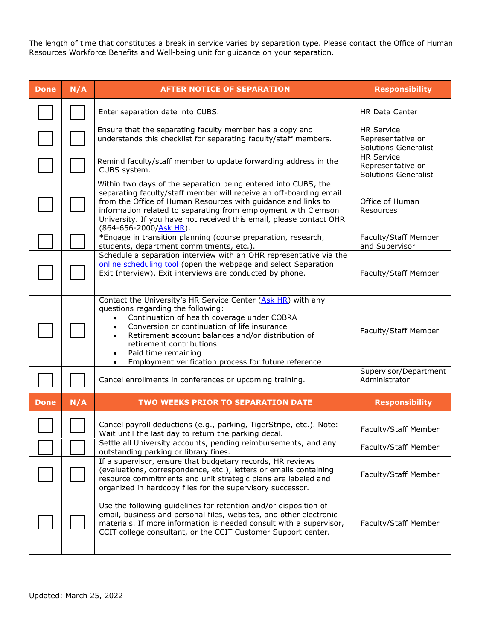Resources Workforce Benefits and Well-being unit for guidance on your separation.

| The length of time that constitutes a break in service varies by separation type. Please contact the Office of Human<br>Resources Workforce Benefits and Well-being unit for guidance on your separation. |     |                                                                                                                                                                                                                                                                                                                                                                                              |                                                                       |
|-----------------------------------------------------------------------------------------------------------------------------------------------------------------------------------------------------------|-----|----------------------------------------------------------------------------------------------------------------------------------------------------------------------------------------------------------------------------------------------------------------------------------------------------------------------------------------------------------------------------------------------|-----------------------------------------------------------------------|
| <b>Done</b>                                                                                                                                                                                               | N/A | <b>AFTER NOTICE OF SEPARATION</b>                                                                                                                                                                                                                                                                                                                                                            | <b>Responsibility</b>                                                 |
|                                                                                                                                                                                                           |     | Enter separation date into CUBS.                                                                                                                                                                                                                                                                                                                                                             | HR Data Center                                                        |
|                                                                                                                                                                                                           |     | Ensure that the separating faculty member has a copy and<br>understands this checklist for separating faculty/staff members.                                                                                                                                                                                                                                                                 | <b>HR Service</b><br>Representative or<br><b>Solutions Generalist</b> |
|                                                                                                                                                                                                           |     | Remind faculty/staff member to update forwarding address in the<br>CUBS system.                                                                                                                                                                                                                                                                                                              | <b>HR Service</b><br>Representative or<br><b>Solutions Generalist</b> |
|                                                                                                                                                                                                           |     | Within two days of the separation being entered into CUBS, the<br>separating faculty/staff member will receive an off-boarding email<br>from the Office of Human Resources with quidance and links to<br>information related to separating from employment with Clemson<br>University. If you have not received this email, please contact OHR<br>(864-656-2000/Ask HR).                     | Office of Human<br>Resources                                          |
|                                                                                                                                                                                                           |     | *Engage in transition planning (course preparation, research,<br>students, department commitments, etc.).                                                                                                                                                                                                                                                                                    | Faculty/Staff Member<br>and Supervisor                                |
|                                                                                                                                                                                                           |     | Schedule a separation interview with an OHR representative via the<br>online scheduling tool (open the webpage and select Separation<br>Exit Interview). Exit interviews are conducted by phone.                                                                                                                                                                                             | Faculty/Staff Member                                                  |
|                                                                                                                                                                                                           |     | Contact the University's HR Service Center (Ask HR) with any<br>questions regarding the following:<br>Continuation of health coverage under COBRA<br>Conversion or continuation of life insurance<br>Retirement account balances and/or distribution of<br>retirement contributions<br>Paid time remaining<br>$\bullet$<br>Employment verification process for future reference<br>$\bullet$ | Faculty/Staff Member                                                  |
|                                                                                                                                                                                                           |     | Cancel enrollments in conferences or upcoming training.                                                                                                                                                                                                                                                                                                                                      | Supervisor/Department<br>Administrator                                |
| <b>Done</b>                                                                                                                                                                                               | N/A | <b>TWO WEEKS PRIOR TO SEPARATION DATE</b>                                                                                                                                                                                                                                                                                                                                                    | <b>Responsibility</b>                                                 |
|                                                                                                                                                                                                           |     | Cancel payroll deductions (e.g., parking, TigerStripe, etc.). Note:<br>Wait until the last day to return the parking decal.                                                                                                                                                                                                                                                                  | Faculty/Staff Member                                                  |
|                                                                                                                                                                                                           |     | Settle all University accounts, pending reimbursements, and any<br>outstanding parking or library fines.                                                                                                                                                                                                                                                                                     | Faculty/Staff Member                                                  |
|                                                                                                                                                                                                           |     | If a supervisor, ensure that budgetary records, HR reviews<br>(evaluations, correspondence, etc.), letters or emails containing<br>resource commitments and unit strategic plans are labeled and<br>organized in hardcopy files for the supervisory successor.                                                                                                                               | Faculty/Staff Member                                                  |
|                                                                                                                                                                                                           |     | Use the following guidelines for retention and/or disposition of<br>email, business and personal files, websites, and other electronic<br>materials. If more information is needed consult with a supervisor,<br>CCIT college consultant, or the CCIT Customer Support center.                                                                                                               | Faculty/Staff Member                                                  |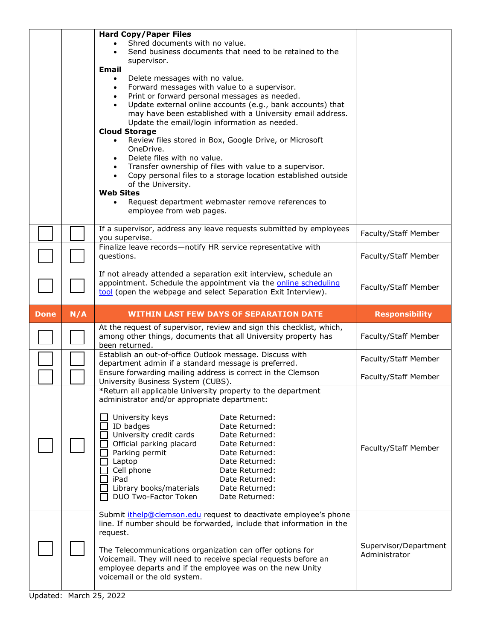|             |     | <b>Hard Copy/Paper Files</b><br>Shred documents with no value.<br>Send business documents that need to be retained to the<br>supervisor.<br>Email<br>Delete messages with no value.<br>$\bullet$<br>Forward messages with value to a supervisor.<br>٠<br>Print or forward personal messages as needed.<br>$\bullet$<br>Update external online accounts (e.g., bank accounts) that<br>may have been established with a University email address.<br>Update the email/login information as needed.<br><b>Cloud Storage</b><br>Review files stored in Box, Google Drive, or Microsoft<br>OneDrive.<br>Delete files with no value.<br>Transfer ownership of files with value to a supervisor.<br>Copy personal files to a storage location established outside<br>$\bullet$<br>of the University.<br><b>Web Sites</b><br>Request department webmaster remove references to<br>employee from web pages. |                       |
|-------------|-----|----------------------------------------------------------------------------------------------------------------------------------------------------------------------------------------------------------------------------------------------------------------------------------------------------------------------------------------------------------------------------------------------------------------------------------------------------------------------------------------------------------------------------------------------------------------------------------------------------------------------------------------------------------------------------------------------------------------------------------------------------------------------------------------------------------------------------------------------------------------------------------------------------|-----------------------|
|             |     | If a supervisor, address any leave requests submitted by employees<br>you supervise.                                                                                                                                                                                                                                                                                                                                                                                                                                                                                                                                                                                                                                                                                                                                                                                                               | Faculty/Staff Member  |
|             |     | Finalize leave records-notify HR service representative with<br>questions.                                                                                                                                                                                                                                                                                                                                                                                                                                                                                                                                                                                                                                                                                                                                                                                                                         | Faculty/Staff Member  |
|             |     | If not already attended a separation exit interview, schedule an<br>appointment. Schedule the appointment via the online scheduling<br>tool (open the webpage and select Separation Exit Interview).                                                                                                                                                                                                                                                                                                                                                                                                                                                                                                                                                                                                                                                                                               | Faculty/Staff Member  |
| <b>Done</b> | N/A | <b>WITHIN LAST FEW DAYS OF SEPARATION DATE</b>                                                                                                                                                                                                                                                                                                                                                                                                                                                                                                                                                                                                                                                                                                                                                                                                                                                     | <b>Responsibility</b> |
|             |     |                                                                                                                                                                                                                                                                                                                                                                                                                                                                                                                                                                                                                                                                                                                                                                                                                                                                                                    |                       |
|             |     | At the request of supervisor, review and sign this checklist, which,<br>among other things, documents that all University property has<br>been returned.                                                                                                                                                                                                                                                                                                                                                                                                                                                                                                                                                                                                                                                                                                                                           | Faculty/Staff Member  |
|             |     | Establish an out-of-office Outlook message. Discuss with<br>department admin if a standard message is preferred.                                                                                                                                                                                                                                                                                                                                                                                                                                                                                                                                                                                                                                                                                                                                                                                   | Faculty/Staff Member  |
|             |     | Ensure forwarding mailing address is correct in the Clemson<br>University Business System (CUBS).                                                                                                                                                                                                                                                                                                                                                                                                                                                                                                                                                                                                                                                                                                                                                                                                  | Faculty/Staff Member  |
|             |     | *Return all applicable University property to the department<br>administrator and/or appropriate department:<br>University keys<br>Date Returned:<br>ID badges<br>Date Returned:<br>University credit cards<br>Date Returned:<br>Official parking placard<br>Date Returned:<br>Parking permit<br>Date Returned:<br>Laptop<br>Date Returned:<br>Cell phone<br>Date Returned:<br>iPad<br>Date Returned:<br>Library books/materials<br>Date Returned:<br>DUO Two-Factor Token<br>Date Returned:<br>Submit <i>ithelp@clemson.edu</i> request to deactivate employee's phone                                                                                                                                                                                                                                                                                                                            | Faculty/Staff Member  |